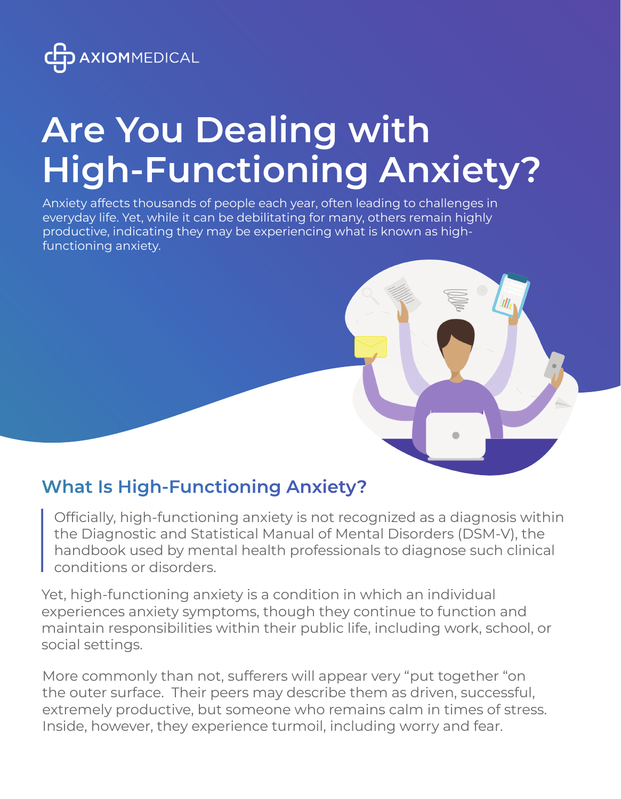

# **Are You Dealing with High-Functioning Anxiety?**

Anxiety affects thousands of people each year, often leading to challenges in everyday life. Yet, while it can be debilitating for many, others remain highly productive, indicating they may be experiencing what is known as highfunctioning anxiety.

# **What Is High-Functioning Anxiety?**

Officially, high-functioning anxiety is not recognized as a diagnosis within the Diagnostic and Statistical Manual of Mental Disorders (DSM-V), the handbook used by mental health professionals to diagnose such clinical conditions or disorders.

Yet, high-functioning anxiety is a condition in which an individual experiences anxiety symptoms, though they continue to function and maintain responsibilities within their public life, including work, school, or social settings.

More commonly than not, sufferers will appear very "put together "on the outer surface. Their peers may describe them as driven, successful, extremely productive, but someone who remains calm in times of stress. Inside, however, they experience turmoil, including worry and fear.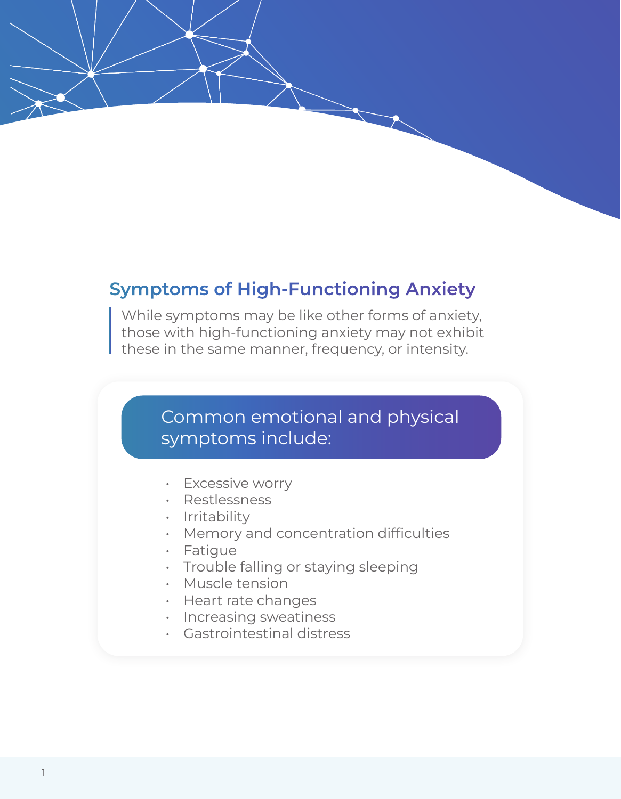## **Symptoms of High-Functioning Anxiety**

While symptoms may be like other forms of anxiety, those with high-functioning anxiety may not exhibit these in the same manner, frequency, or intensity.

### Common emotional and physical symptoms include:

- **Excessive worry**
- Restlessness
- Irritability
- Memory and concentration difficulties
- **Fatigue**
- Trouble falling or staying sleeping
- Muscle tension
- Heart rate changes
- Increasing sweatiness
- Gastrointestinal distress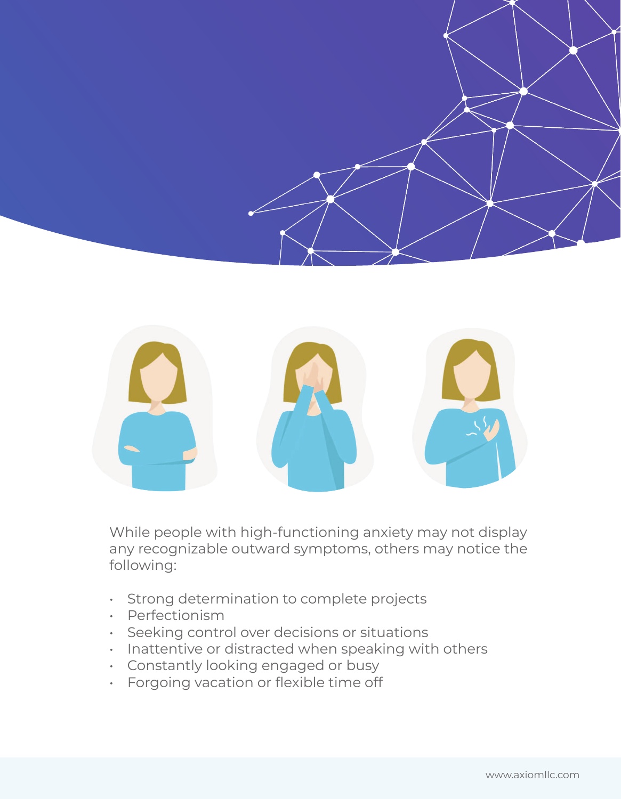



While people with high-functioning anxiety may not display any recognizable outward symptoms, others may notice the following:

- Strong determination to complete projects
- Perfectionism
- Seeking control over decisions or situations
- Inattentive or distracted when speaking with others
- Constantly looking engaged or busy
- Forgoing vacation or flexible time off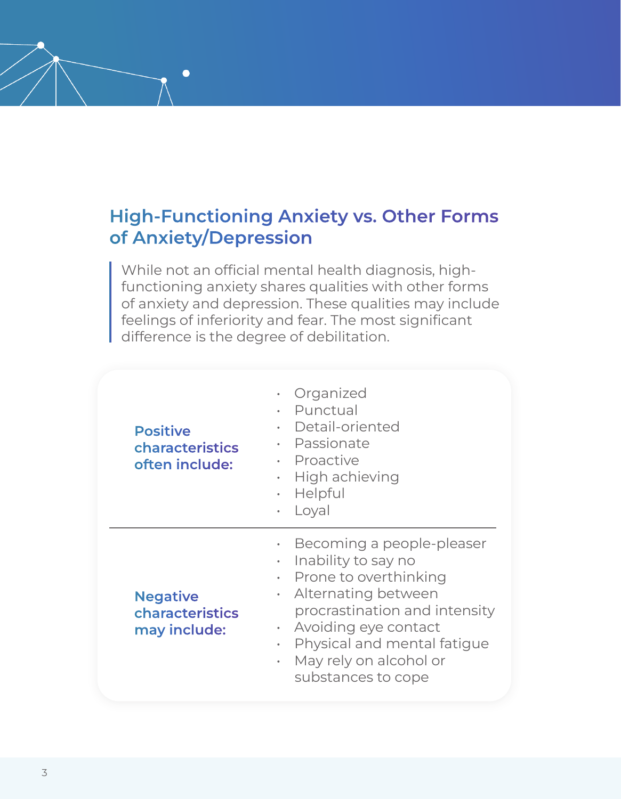# **High-Functioning Anxiety vs. Other Forms of Anxiety/Depression**

 $\bullet$ 

While not an official mental health diagnosis, highfunctioning anxiety shares qualities with other forms of anxiety and depression. These qualities may include feelings of inferiority and fear. The most significant difference is the degree of debilitation.

| <b>Positive</b><br>characteristics<br>often include: | Organized<br>$\bullet$<br>· Punctual<br>Detail-oriented<br>$\bullet$<br>· Passionate<br>· Proactive<br>$\cdot$ High achieving<br>Helpful<br>$\bullet$<br>Loyal<br>$\bullet$                                                                                                                      |
|------------------------------------------------------|--------------------------------------------------------------------------------------------------------------------------------------------------------------------------------------------------------------------------------------------------------------------------------------------------|
| <b>Negative</b><br>characteristics<br>may include:   | Becoming a people-pleaser<br>۰<br>Inability to say no<br>$\bullet$<br>Prone to overthinking<br>٠<br>Alternating between<br>$\bullet$<br>procrastination and intensity<br>• Avoiding eye contact<br>Physical and mental fatigue<br>٠<br>May rely on alcohol or<br>$\bullet$<br>substances to cope |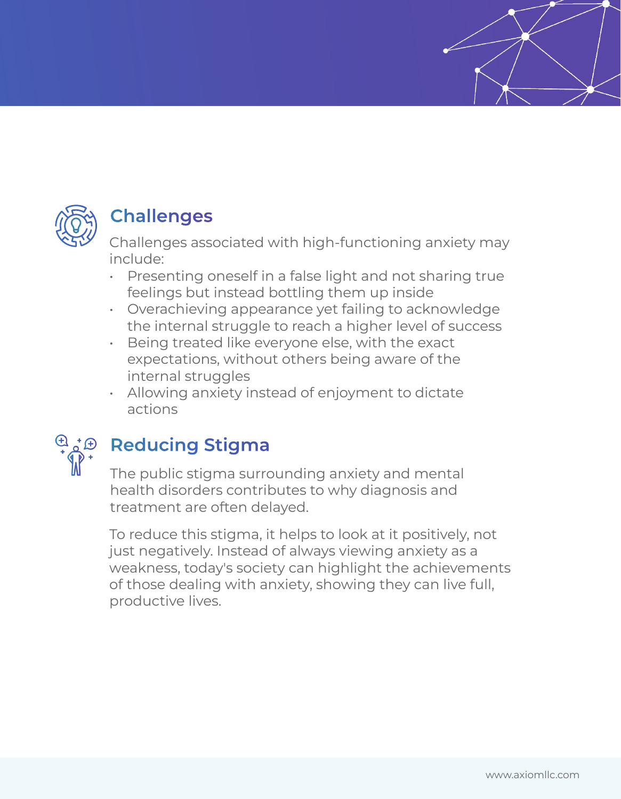

# **Challenges**

Challenges associated with high-functioning anxiety may include:

- Presenting oneself in a false light and not sharing true feelings but instead bottling them up inside
- Overachieving appearance yet failing to acknowledge the internal struggle to reach a higher level of success
- Being treated like everyone else, with the exact expectations, without others being aware of the internal struggles
- Allowing anxiety instead of enjoyment to dictate actions



# **Reducing Stigma**

The public stigma surrounding anxiety and mental health disorders contributes to why diagnosis and treatment are often delayed.

To reduce this stigma, it helps to look at it positively, not just negatively. Instead of always viewing anxiety as a weakness, today's society can highlight the achievements of those dealing with anxiety, showing they can live full, productive lives.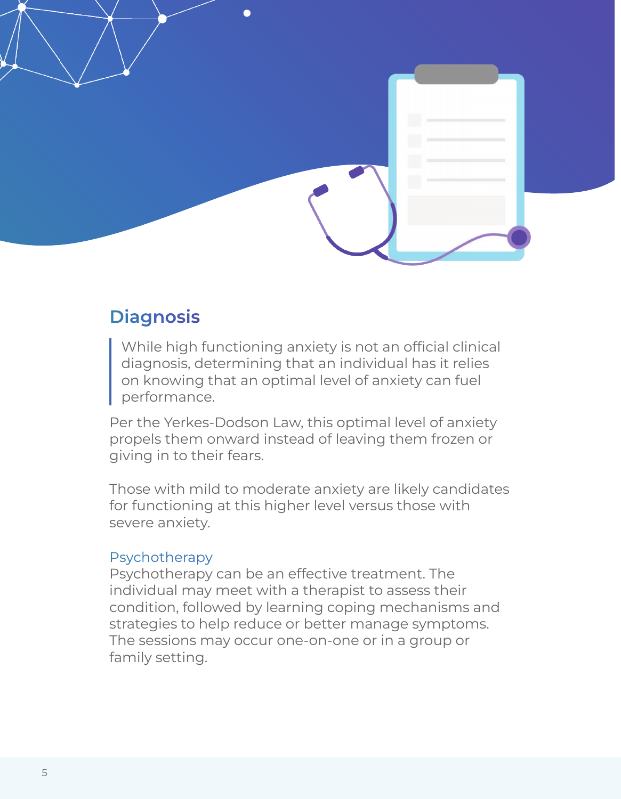

# **Diagnosis**

While high functioning anxiety is not an official clinical diagnosis, determining that an individual has it relies on knowing that an optimal level of anxiety can fuel performance.

Per the Yerkes-Dodson Law, this optimal level of anxiety propels them onward instead of leaving them frozen or giving in to their fears.

Those with mild to moderate anxiety are likely candidates for functioning at this higher level versus those with severe anxiety.

#### Psychotherapy

Psychotherapy can be an effective treatment. The individual may meet with a therapist to assess their condition, followed by learning coping mechanisms and strategies to help reduce or better manage symptoms. The sessions may occur one-on-one or in a group or family setting.